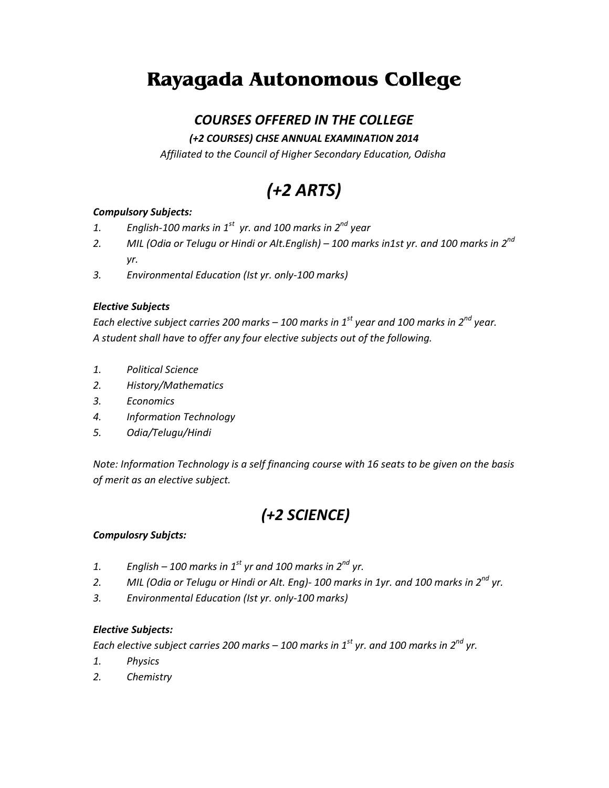# **Rayagada Autonomous College**

### *COURSES OFFERED IN THE COLLEGE*

### *(+2 COURSES) CHSE ANNUAL EXAMINATION 2014*

*Affiliated to the Council of Higher Secondary Education, Odisha*

# *(+2 ARTS)*

#### *Compulsory Subjects:*

- *1. English-100 marks in 1st yr. and 100 marks in 2nd year*
- *2. MIL (Odia or Telugu or Hindi or Alt.English) – 100 marks in1st yr. and 100 marks in 2nd yr.*
- *3. Environmental Education (Ist yr. only-100 marks)*

#### *Elective Subjects*

*Each elective subject carries 200 marks – 100 marks in 1st year and 100 marks in 2nd year. A student shall have to offer any four elective subjects out of the following.*

- *1. Political Science*
- *2. History/Mathematics*
- *3. Economics*
- *4. Information Technology*
- *5. Odia/Telugu/Hindi*

*Note: Information Technology is a self financing course with 16 seats to be given on the basis of merit as an elective subject.*

## *(+2 SCIENCE)*

#### *Compulosry Subjcts:*

- *1. English – 100 marks in 1st yr and 100 marks in 2nd yr.*
- *2. MIL (Odia or Telugu or Hindi or Alt. Eng)- 100 marks in 1yr. and 100 marks in 2nd yr.*
- *3. Environmental Education (Ist yr. only-100 marks)*

#### *Elective Subjects:*

*Each elective subject carries 200 marks – 100 marks in 1st yr. and 100 marks in 2nd yr.*

- *1. Physics*
- *2. Chemistry*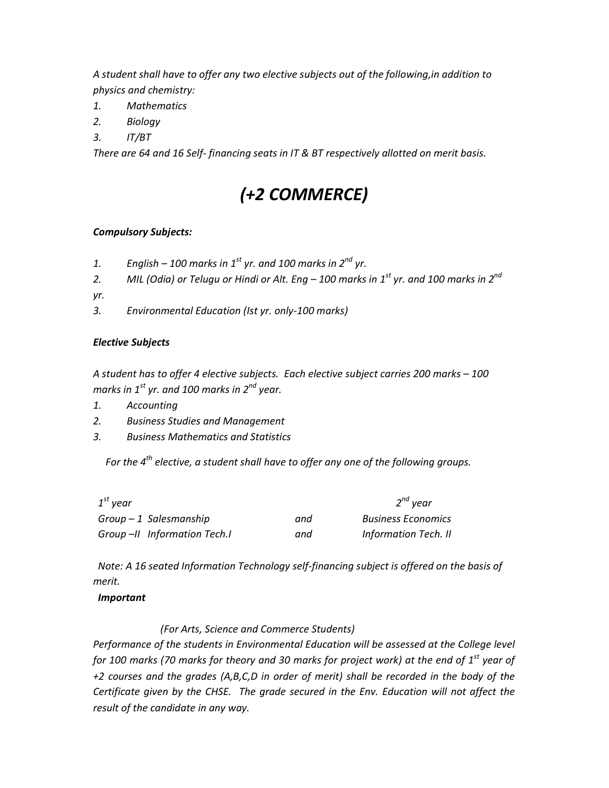*A student shall have to offer any two elective subjects out of the following,in addition to physics and chemistry:*

- *1. Mathematics*
- *2. Biology*
- *3. IT/BT*

*There are 64 and 16 Self- financing seats in IT & BT respectively allotted on merit basis.*

# *(+2 COMMERCE)*

#### *Compulsory Subjects:*

- *1. English – 100 marks in 1st yr. and 100 marks in 2nd yr.*
- *2. MIL (Odia) or Telugu or Hindi or Alt. Eng – 100 marks in 1st yr. and 100 marks in 2nd*
- *yr.*
- *3. Environmental Education (Ist yr. only-100 marks)*

#### *Elective Subjects*

*A student has to offer 4 elective subjects. Each elective subject carries 200 marks – 100 marks in 1st yr. and 100 marks in 2nd year.*

- *1. Accounting*
- *2. Business Studies and Management*
- *3. Business Mathematics and Statistics*

 *For the 4th elective, a student shall have to offer any one of the following groups.*

| $1^{st}$ vear               |     | $2^{nd}$ year               |
|-----------------------------|-----|-----------------------------|
| $Group-1$ Salesmanship      | and | <b>Business Economics</b>   |
| Group-II Information Tech.I | and | <b>Information Tech. II</b> |

 *Note: A 16 seated Information Technology self-financing subject is offered on the basis of merit.*

#### *Important*

*(For Arts, Science and Commerce Students)*

*Performance of the students in Environmental Education will be assessed at the College level for 100 marks (70 marks for theory and 30 marks for project work) at the end of 1st year of +2 courses and the grades (A,B,C,D in order of merit) shall be recorded in the body of the Certificate given by the CHSE. The grade secured in the Env. Education will not affect the result of the candidate in any way.*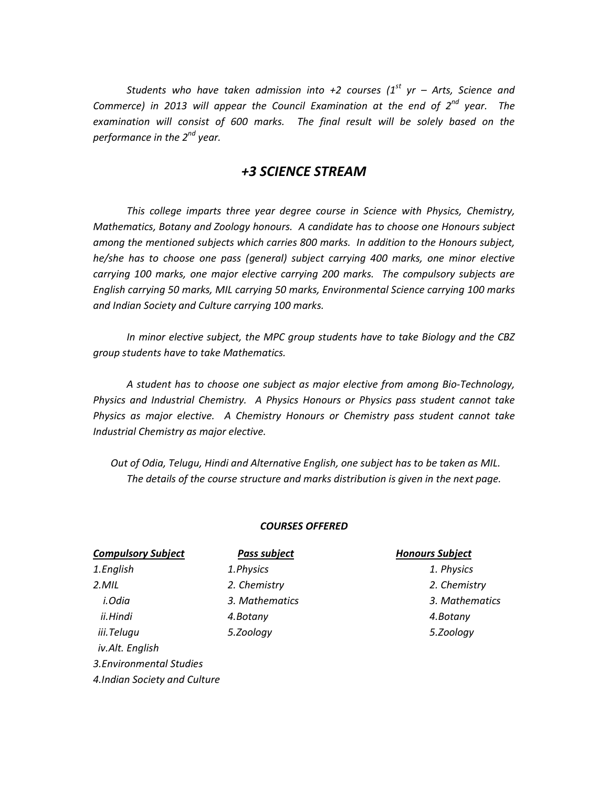*Students who have taken admission into +2 courses (1st yr – Arts, Science and Commerce) in 2013 will appear the Council Examination at the end of 2nd year. The examination will consist of 600 marks. The final result will be solely based on the performance in the 2nd year.*

### *+3 SCIENCE STREAM*

*This college imparts three year degree course in Science with Physics, Chemistry, Mathematics, Botany and Zoology honours. A candidate has to choose one Honours subject among the mentioned subjects which carries 800 marks. In addition to the Honours subject, he/she has to choose one pass (general) subject carrying 400 marks, one minor elective carrying 100 marks, one major elective carrying 200 marks. The compulsory subjects are English carrying 50 marks, MIL carrying 50 marks, Environmental Science carrying 100 marks and Indian Society and Culture carrying 100 marks.*

*In minor elective subject, the MPC group students have to take Biology and the CBZ group students have to take Mathematics.*

*A student has to choose one subject as major elective from among Bio-Technology, Physics and Industrial Chemistry. A Physics Honours or Physics pass student cannot take Physics as major elective. A Chemistry Honours or Chemistry pass student cannot take Industrial Chemistry as major elective.*

 *Out of Odia, Telugu, Hindi and Alternative English, one subject has to be taken as MIL. The details of the course structure and marks distribution is given in the next page.*

#### *COURSES OFFERED*

| <b>Compulsory Subject</b>     | <b>Pass subject</b> | <b>Honours Subject</b> |  |  |
|-------------------------------|---------------------|------------------------|--|--|
| 1.English                     | 1. Physics          | 1. Physics             |  |  |
| $2.$ <i>MIL</i>               | 2. Chemistry        | 2. Chemistry           |  |  |
| i.Odia                        | 3. Mathematics      | 3. Mathematics         |  |  |
| ii.Hindi                      | 4.Botany            | 4.Botany               |  |  |
| iii.Telugu<br>iv.Alt. English | 5.Zoology           | 5.Zoology              |  |  |
|                               |                     |                        |  |  |

*3.Environmental Studies*

*4.Indian Society and Culture*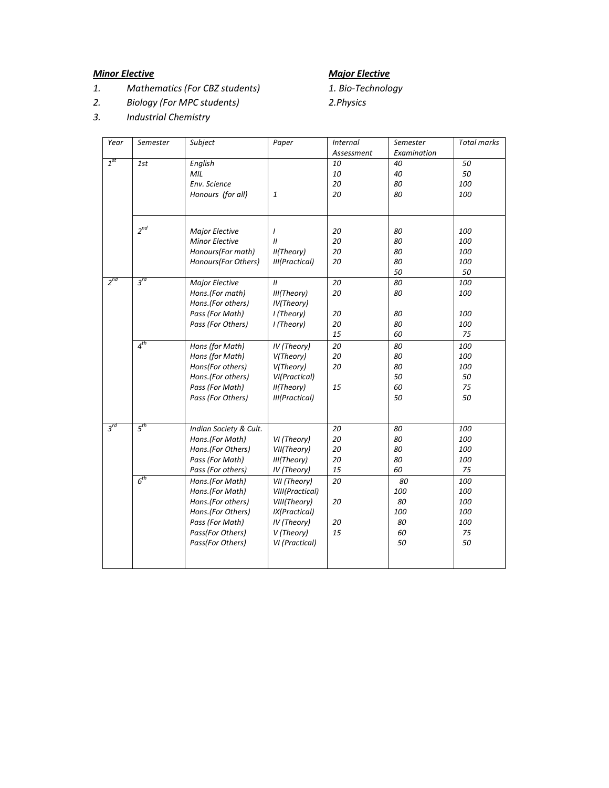### *Minor Elective Major Elective*

- *1. Mathematics (For CBZ students) 1. Bio-Technology*
- *2. Biology (For MPC students) 2.Physics*
- *3. Industrial Chemistry*

| Year           | Semester        | Subject                | Paper           | <b>Internal</b> | Semester    | <b>Total marks</b> |
|----------------|-----------------|------------------------|-----------------|-----------------|-------------|--------------------|
|                |                 |                        |                 | Assessment      | Examination |                    |
| $1^{st}$       | 1st             | English                |                 | 10              | 40          | 50                 |
|                |                 | MIL                    |                 | 10              | 40          | 50                 |
|                |                 | Env. Science           |                 | 20              | 80          | 100                |
|                |                 | Honours (for all)      | 1               | 20              | 80          | 100                |
|                |                 |                        |                 |                 |             |                    |
|                | $2^{nd}$        | <b>Major Elective</b>  | $\prime$        | 20              | 80          | 100                |
|                |                 | <b>Minor Elective</b>  | $\mathcal{U}$   | 20              | 80          | 100                |
|                |                 | Honours(For math)      | II(Theory)      | 20              | 80          | 100                |
|                |                 | Honours(For Others)    | III(Practical)  | 20              | 80          | 100                |
|                |                 |                        |                 |                 | 50          | 50                 |
| $2^{nd}$       | $3^{rd}$        |                        | $\mathbf{u}$    | 20              | 80          | 100                |
|                |                 | Major Elective         |                 |                 |             |                    |
|                |                 | Hons.(For math)        | III(Theory)     | 20              | 80          | 100                |
|                |                 | Hons.(For others)      | IV(Theory)      | 20              | 80          | 100                |
|                |                 | Pass (For Math)        | I (Theory)      | 20              | 80          | 100                |
|                |                 | Pass (For Others)      | I (Theory)      | 15              | 60          | 75                 |
|                | $4^{th}$        |                        |                 |                 |             |                    |
|                |                 | Hons (for Math)        | IV (Theory)     | 20              | 80          | 100                |
|                |                 | Hons (for Math)        | V(Theory)       | 20              | 80          | 100                |
|                |                 | Hons(For others)       | V(Theory)       | 20              | 80          | 100                |
|                |                 | Hons.(For others)      | VI(Practical)   |                 | 50          | 50                 |
|                |                 | Pass (For Math)        | II(Theory)      | 15              | 60          | 75                 |
|                |                 | Pass (For Others)      | III(Practical)  |                 | 50          | 50                 |
|                |                 |                        |                 |                 |             |                    |
| $3^{\prime d}$ | 5 <sup>th</sup> | Indian Society & Cult. |                 | 20              | 80          | 100                |
|                |                 | Hons.(For Math)        | VI (Theory)     | 20              | 80          | 100                |
|                |                 | Hons.(For Others)      | VII(Theory)     | 20              | 80          | 100                |
|                |                 | Pass (For Math)        | III(Theory)     | 20              | 80          | 100                |
|                |                 | Pass (For others)      | IV (Theory)     | 15              | 60          | 75                 |
|                | 6 <sup>th</sup> | Hons.(For Math)        | VII (Theory)    | 20              | 80          | 100                |
|                |                 | Hons.(For Math)        | VIII(Practical) |                 | 100         | 100                |
|                |                 | Hons.(For others)      | VIII(Theory)    | 20              | 80          | 100                |
|                |                 | Hons.(For Others)      | IX(Practical)   |                 | 100         | 100                |
|                |                 | Pass (For Math)        | IV (Theory)     | 20              | 80          | 100                |
|                |                 | Pass(For Others)       | V (Theory)      | 15              | 60          | 75                 |
|                |                 | Pass(For Others)       | VI (Practical)  |                 | 50          | 50                 |
|                |                 |                        |                 |                 |             |                    |
|                |                 |                        |                 |                 |             |                    |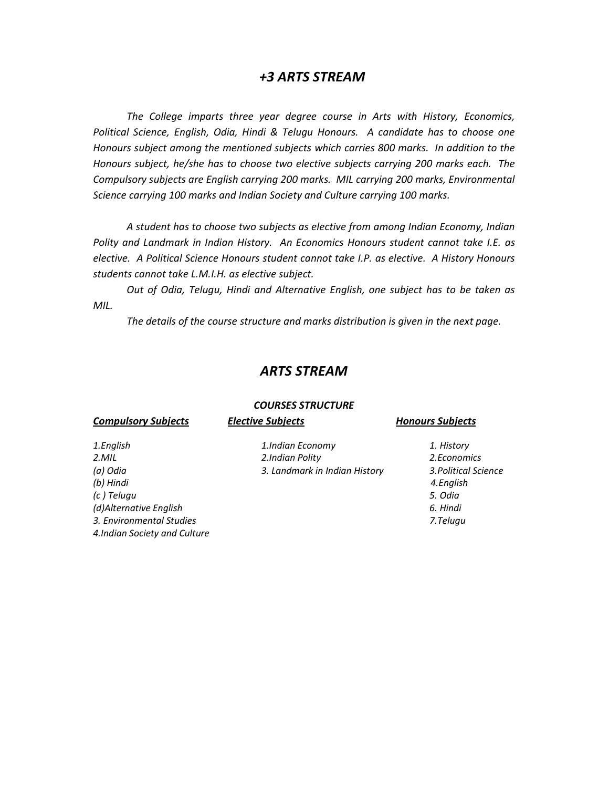#### *+3 ARTS STREAM*

*The College imparts three year degree course in Arts with History, Economics, Political Science, English, Odia, Hindi & Telugu Honours. A candidate has to choose one Honours subject among the mentioned subjects which carries 800 marks. In addition to the Honours subject, he/she has to choose two elective subjects carrying 200 marks each. The Compulsory subjects are English carrying 200 marks. MIL carrying 200 marks, Environmental Science carrying 100 marks and Indian Society and Culture carrying 100 marks.*

*A student has to choose two subjects as elective from among Indian Economy, Indian Polity and Landmark in Indian History. An Economics Honours student cannot take I.E. as elective. A Political Science Honours student cannot take I.P. as elective. A History Honours students cannot take L.M.I.H. as elective subject.*

*Out of Odia, Telugu, Hindi and Alternative English, one subject has to be taken as MIL.*

*The details of the course structure and marks distribution is given in the next page.*

#### *ARTS STREAM*

#### *COURSES STRUCTURE*

| <b>Compulsory Subjects</b>    | <b>Elective Subjects</b>      | <b>Honours Subjects</b> |
|-------------------------------|-------------------------------|-------------------------|
| 1.English                     | 1.Indian Economy              | 1. History              |
| $2.$ <i>MIL</i>               | 2. Indian Polity              | 2. Economics            |
| (a) Odia                      | 3. Landmark in Indian History | 3. Political Science    |
| (b) Hindi                     |                               | 4.English               |
| (c) Telugu                    |                               | 5. Odia                 |
| (d)Alternative English        |                               | 6. Hindi                |
| 3. Environmental Studies      |                               | 7.Telugu                |
| 4. Indian Society and Culture |                               |                         |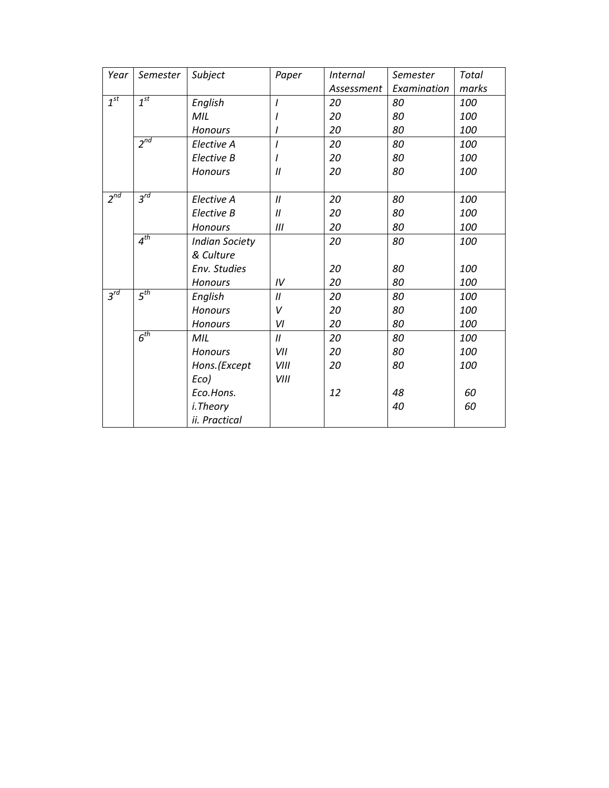| Year     | Semester            | Subject               | Paper             | <i>Internal</i> | Semester    | <b>Total</b> |
|----------|---------------------|-----------------------|-------------------|-----------------|-------------|--------------|
|          |                     |                       |                   | Assessment      | Examination | marks        |
| $1^{st}$ | 1 <sup>st</sup>     | English               | I                 | 20              | 80          | 100          |
|          |                     | MIL                   |                   | 20              | 80          | 100          |
|          |                     | <b>Honours</b>        |                   | 20              | 80          | 100          |
|          | $2^{nd}$            | Elective A            | $\overline{I}$    | 20              | 80          | 100          |
|          |                     | Elective B            |                   | 20              | 80          | 100          |
|          |                     | <b>Honours</b>        | $\prime$          | 20              | 80          | 100          |
|          |                     |                       |                   |                 |             |              |
| $2^{nd}$ | $3^{\overline{rd}}$ | Elective A            | $\mathcal{U}$     | 20              | 80          | 100          |
|          |                     | Elective B            | $^{\prime\prime}$ | 20              | 80          | 100          |
|          |                     | <b>Honours</b>        | III               | 20              | 80          | 100          |
|          | $4^{th}$            | <b>Indian Society</b> |                   | 20              | 80          | 100          |
|          |                     | & Culture             |                   |                 |             |              |
|          |                     | Env. Studies          |                   | 20              | 80          | 100          |
|          |                     | <b>Honours</b>        | IV                | 20              | 80          | 100          |
| $3^{rd}$ | 5 <sup>th</sup>     | English               | 11                | 20              | 80          | 100          |
|          |                     | <b>Honours</b>        | v                 | 20              | 80          | 100          |
|          |                     | <b>Honours</b>        | VI                | 20              | 80          | 100          |
|          | 6 <sup>th</sup>     | MIL                   | $\boldsymbol{H}$  | 20              | 80          | 100          |
|          |                     | <b>Honours</b>        | VII               | 20              | 80          | 100          |
|          |                     | Hons.(Except          | VIII              | 20              | 80          | 100          |
|          |                     | Eco)                  | VIII              |                 |             |              |
|          |                     | Eco.Hons.             |                   | 12              | 48          | 60           |
|          |                     | i.Theory              |                   |                 | 40          | 60           |
|          |                     | ii. Practical         |                   |                 |             |              |